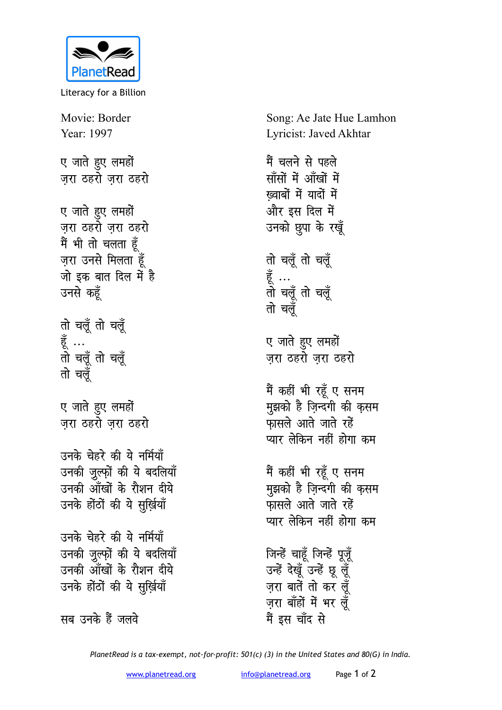

Literacy for a Billion

Movie: Border Year: 1997 ए जाते हुए लमहों ज़रा ठहरों ज़रा ठहरो

ए जाते हुए लमहों जरा ठहरो जरा ठहरो मैं भी तो चलता हूँ ज़रा उनसे मिलता हूँ जो इक बात दिल में है उनसे कहूँ

तो चलूँ तो चलूँ हूँ …<br>तो चलूँ तो चलूँ तो चलँ

ए जाते हुए लमहों जरा ठहरो जरा ठहरो

उनके चेहरे की ये नर्मियाँ उनकी जुल्फ़ों की ये बदलियाँ उनकी आँखों के रौशन दीये उनके होंठों की ये सुर्ख़ियाँ

उनके चेहरे की ये नर्मियाँ उनकी जुल्फों की ये बदलियाँ उनकी आँखों के रौशन दीये उनके होंठों की ये सुर्ख़ियाँ

सब उनके हैं जलवे

Song: Ae Jate Hue Lamhon Lyricist: Javed Akhtar

मैं चलने से पहले साँसों में आँखों में ख्वाबों में यादों में और इस दिल में उनको छुपा के रखूँ तो चलूँ तो चलूँ हूँ …<br>तो चलूँ तो चलूँ तो चलँ ए जाते हुए लमहों जरा ठहरो जरा ठहरो मैं कहीं भी रहूँ ए सनम मुझको है ज़िन्दगी की कृसम फासले आते जाते रहें प्यार लेकिन नहीं होगा कम मैं कहीं भी रहूँ ए सनम मुझको है ज़िन्दगी की क़सम फासले आते जाते रहें प्यार लेकिन नहीं होगा कम जिन्हें चाहूँ जिन्हें पूजूँ उन्हें देखूँ उन्हें छू लूँ ज़रा बातें तो कर लूँ ज़रा बाँहों में भर लूँ मैं इस चाँद से

PlanetRead is a tax-exempt, not-for-profit: 501(c) (3) in the United States and 80(G) in India.